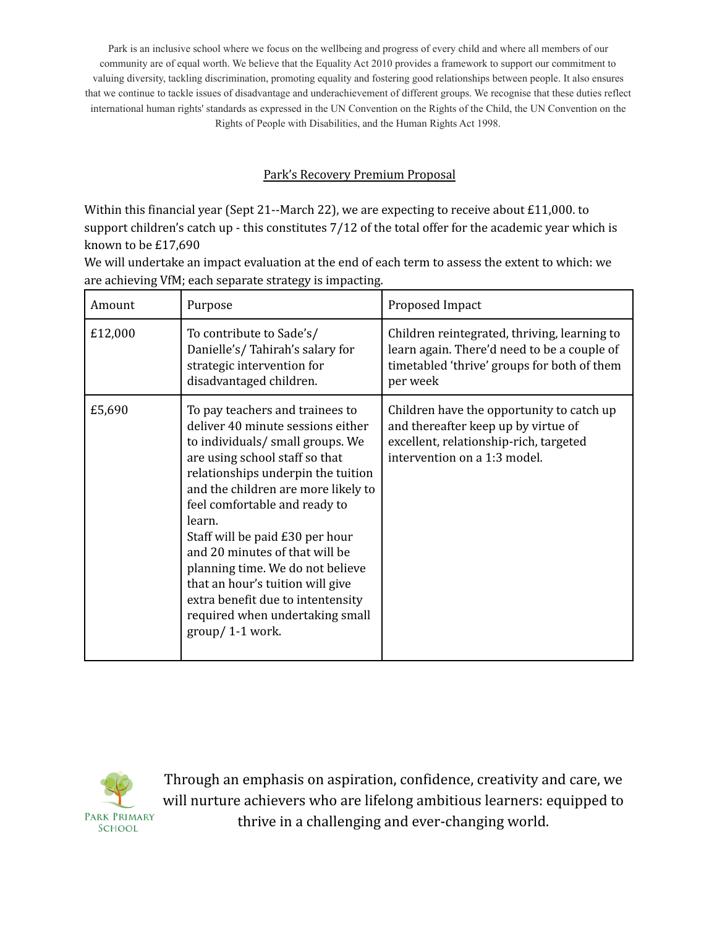## Park's Recovery Premium Proposal

Within this financial year (Sept 21--March 22), we are expecting to receive about £11,000. to support children's catch up - this constitutes 7/12 of the total offer for the academic year which is known to be £17,690

We will undertake an impact evaluation at the end of each term to assess the extent to which: we are achieving VfM; each separate strategy is impacting.

| Amount  | Purpose                                                                                                                                                                                                                                                                                                                                                                                                                                                                                                    | Proposed Impact                                                                                                                                            |
|---------|------------------------------------------------------------------------------------------------------------------------------------------------------------------------------------------------------------------------------------------------------------------------------------------------------------------------------------------------------------------------------------------------------------------------------------------------------------------------------------------------------------|------------------------------------------------------------------------------------------------------------------------------------------------------------|
| £12,000 | To contribute to Sade's/<br>Danielle's/Tahirah's salary for<br>strategic intervention for<br>disadvantaged children.                                                                                                                                                                                                                                                                                                                                                                                       | Children reintegrated, thriving, learning to<br>learn again. There'd need to be a couple of<br>timetabled 'thrive' groups for both of them<br>per week     |
| £5,690  | To pay teachers and trainees to<br>deliver 40 minute sessions either<br>to individuals/ small groups. We<br>are using school staff so that<br>relationships underpin the tuition<br>and the children are more likely to<br>feel comfortable and ready to<br>learn.<br>Staff will be paid £30 per hour<br>and 20 minutes of that will be<br>planning time. We do not believe<br>that an hour's tuition will give<br>extra benefit due to intentensity<br>required when undertaking small<br>group/1-1 work. | Children have the opportunity to catch up<br>and thereafter keep up by virtue of<br>excellent, relationship-rich, targeted<br>intervention on a 1:3 model. |

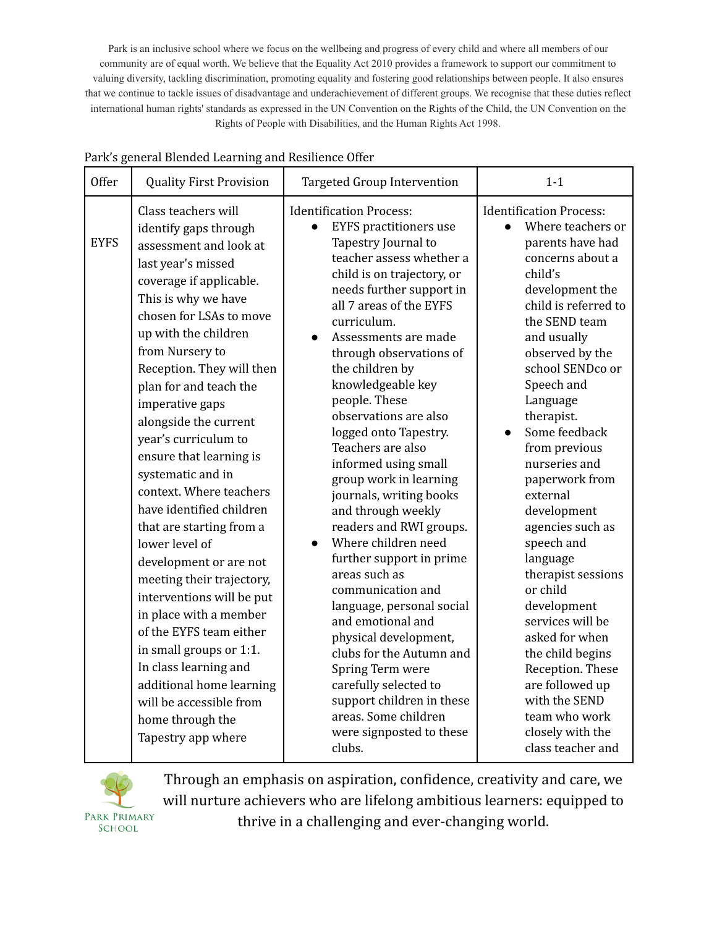| Offer       | <b>Quality First Provision</b>                                                                                                                                                                                                                                                                                                                                                                                                                                                                                                                                                                                                                                                                                                                                                                     | <b>Targeted Group Intervention</b>                                                                                                                                                                                                                                                                                                                                                                                                                                                                                                                                                                                                                                                                                                                                                                                                                                                                        | $1 - 1$                                                                                                                                                                                                                                                                                                                                                                                                                                                                                                                                                                                                                                     |
|-------------|----------------------------------------------------------------------------------------------------------------------------------------------------------------------------------------------------------------------------------------------------------------------------------------------------------------------------------------------------------------------------------------------------------------------------------------------------------------------------------------------------------------------------------------------------------------------------------------------------------------------------------------------------------------------------------------------------------------------------------------------------------------------------------------------------|-----------------------------------------------------------------------------------------------------------------------------------------------------------------------------------------------------------------------------------------------------------------------------------------------------------------------------------------------------------------------------------------------------------------------------------------------------------------------------------------------------------------------------------------------------------------------------------------------------------------------------------------------------------------------------------------------------------------------------------------------------------------------------------------------------------------------------------------------------------------------------------------------------------|---------------------------------------------------------------------------------------------------------------------------------------------------------------------------------------------------------------------------------------------------------------------------------------------------------------------------------------------------------------------------------------------------------------------------------------------------------------------------------------------------------------------------------------------------------------------------------------------------------------------------------------------|
| <b>EYFS</b> | Class teachers will<br>identify gaps through<br>assessment and look at<br>last year's missed<br>coverage if applicable.<br>This is why we have<br>chosen for LSAs to move<br>up with the children<br>from Nursery to<br>Reception. They will then<br>plan for and teach the<br>imperative gaps<br>alongside the current<br>year's curriculum to<br>ensure that learning is<br>systematic and in<br>context. Where teachers<br>have identified children<br>that are starting from a<br>lower level of<br>development or are not<br>meeting their trajectory,<br>interventions will be put<br>in place with a member<br>of the EYFS team either<br>in small groups or 1:1.<br>In class learning and<br>additional home learning<br>will be accessible from<br>home through the<br>Tapestry app where | <b>Identification Process:</b><br><b>EYFS</b> practitioners use<br>$\bullet$<br>Tapestry Journal to<br>teacher assess whether a<br>child is on trajectory, or<br>needs further support in<br>all 7 areas of the EYFS<br>curriculum.<br>Assessments are made<br>$\bullet$<br>through observations of<br>the children by<br>knowledgeable key<br>people. These<br>observations are also<br>logged onto Tapestry.<br>Teachers are also<br>informed using small<br>group work in learning<br>journals, writing books<br>and through weekly<br>readers and RWI groups.<br>Where children need<br>further support in prime<br>areas such as<br>communication and<br>language, personal social<br>and emotional and<br>physical development,<br>clubs for the Autumn and<br>Spring Term were<br>carefully selected to<br>support children in these<br>areas. Some children<br>were signposted to these<br>clubs. | <b>Identification Process:</b><br>Where teachers or<br>parents have had<br>concerns about a<br>child's<br>development the<br>child is referred to<br>the SEND team<br>and usually<br>observed by the<br>school SENDco or<br>Speech and<br>Language<br>therapist.<br>Some feedback<br>from previous<br>nurseries and<br>paperwork from<br>external<br>development<br>agencies such as<br>speech and<br>language<br>therapist sessions<br>or child<br>development<br>services will be<br>asked for when<br>the child begins<br>Reception. These<br>are followed up<br>with the SEND<br>team who work<br>closely with the<br>class teacher and |

## Park's general Blended Learning and Resilience Offer

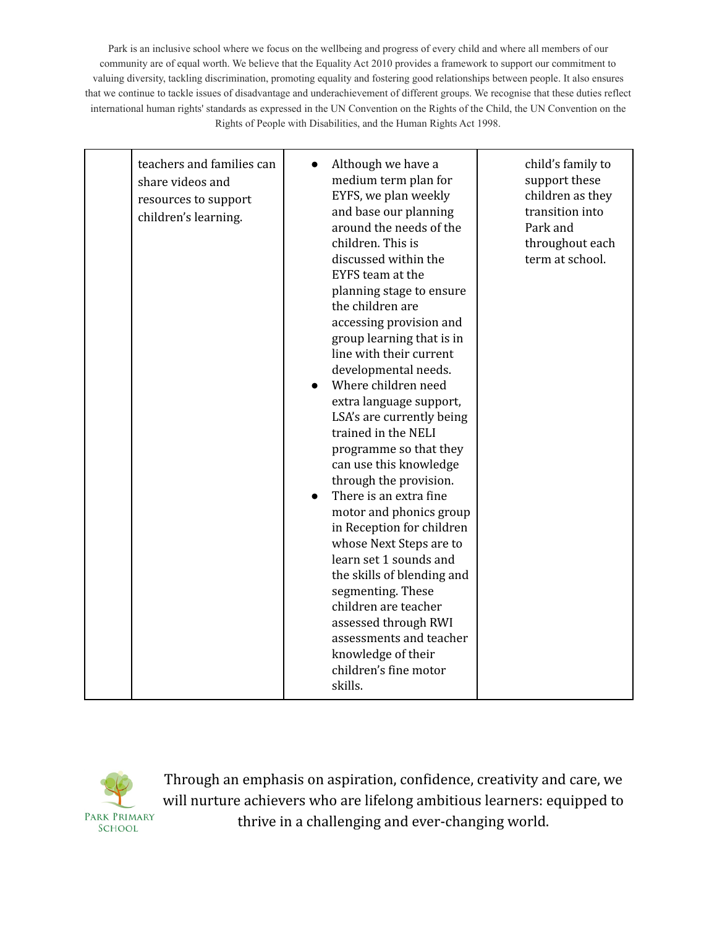| trained in the NELI<br>programme so that they<br>can use this knowledge<br>through the provision.<br>There is an extra fine<br>$\bullet$<br>motor and phonics group<br>in Reception for children<br>whose Next Steps are to<br>learn set 1 sounds and<br>the skills of blending and<br>segmenting. These<br>children are teacher<br>assessed through RWI<br>assessments and teacher<br>knowledge of their<br>children's fine motor<br>skills. | teachers and families can<br>share videos and<br>resources to support<br>children's learning. | Although we have a<br>medium term plan for<br>EYFS, we plan weekly<br>and base our planning<br>around the needs of the<br>children. This is<br>discussed within the<br>EYFS team at the<br>planning stage to ensure<br>the children are<br>accessing provision and<br>group learning that is in<br>line with their current<br>developmental needs.<br>Where children need<br>extra language support,<br>LSA's are currently being | child's family to<br>support these<br>children as they<br>transition into<br>Park and<br>throughout each<br>term at school. |
|-----------------------------------------------------------------------------------------------------------------------------------------------------------------------------------------------------------------------------------------------------------------------------------------------------------------------------------------------------------------------------------------------------------------------------------------------|-----------------------------------------------------------------------------------------------|-----------------------------------------------------------------------------------------------------------------------------------------------------------------------------------------------------------------------------------------------------------------------------------------------------------------------------------------------------------------------------------------------------------------------------------|-----------------------------------------------------------------------------------------------------------------------------|
|-----------------------------------------------------------------------------------------------------------------------------------------------------------------------------------------------------------------------------------------------------------------------------------------------------------------------------------------------------------------------------------------------------------------------------------------------|-----------------------------------------------------------------------------------------------|-----------------------------------------------------------------------------------------------------------------------------------------------------------------------------------------------------------------------------------------------------------------------------------------------------------------------------------------------------------------------------------------------------------------------------------|-----------------------------------------------------------------------------------------------------------------------------|

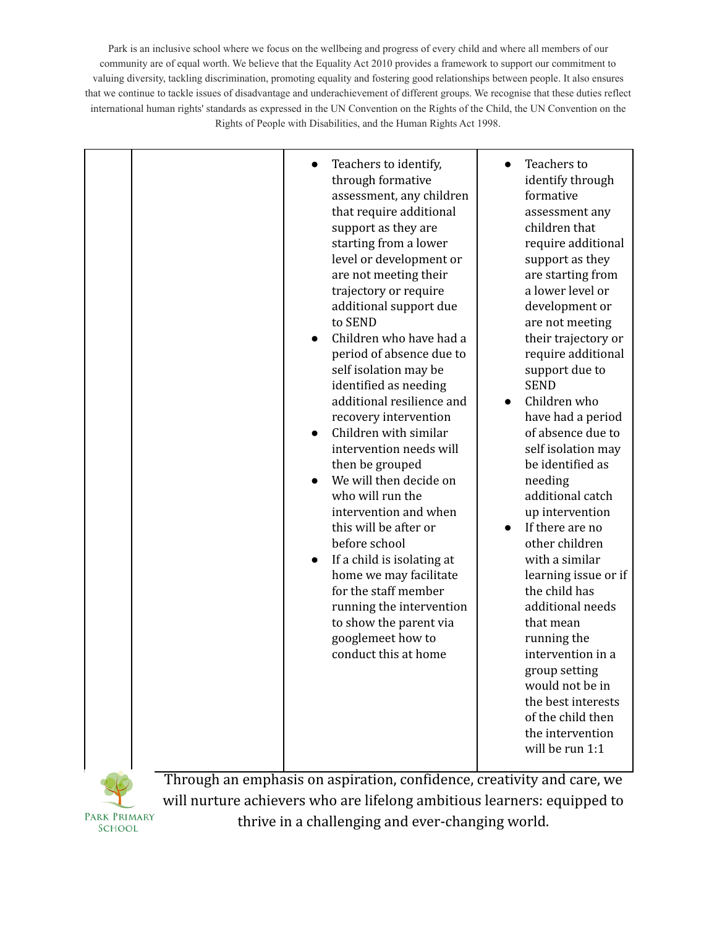|  | Teachers to identify,<br>through formative<br>assessment, any children<br>that require additional<br>support as they are<br>starting from a lower<br>level or development or<br>are not meeting their<br>trajectory or require<br>additional support due<br>to SEND<br>Children who have had a<br>period of absence due to<br>self isolation may be<br>identified as needing<br>additional resilience and<br>recovery intervention<br>Children with similar<br>intervention needs will<br>then be grouped<br>We will then decide on<br>who will run the<br>intervention and when<br>this will be after or<br>before school<br>If a child is isolating at<br>home we may facilitate<br>for the staff member<br>running the intervention<br>to show the parent via<br>googlemeet how to<br>conduct this at home | Teachers to<br>identify through<br>formative<br>assessment any<br>children that<br>require additional<br>support as they<br>are starting from<br>a lower level or<br>development or<br>are not meeting<br>their trajectory or<br>require additional<br>support due to<br><b>SEND</b><br>Children who<br>have had a period<br>of absence due to<br>self isolation may<br>be identified as<br>needing<br>additional catch<br>up intervention<br>If there are no<br>$\bullet$<br>other children<br>with a similar<br>learning issue or if<br>the child has<br>additional needs<br>that mean<br>running the<br>intervention in a<br>group setting<br>would not be in<br>the best interests<br>of the child then<br>the intervention<br>will be run 1:1 |
|--|---------------------------------------------------------------------------------------------------------------------------------------------------------------------------------------------------------------------------------------------------------------------------------------------------------------------------------------------------------------------------------------------------------------------------------------------------------------------------------------------------------------------------------------------------------------------------------------------------------------------------------------------------------------------------------------------------------------------------------------------------------------------------------------------------------------|----------------------------------------------------------------------------------------------------------------------------------------------------------------------------------------------------------------------------------------------------------------------------------------------------------------------------------------------------------------------------------------------------------------------------------------------------------------------------------------------------------------------------------------------------------------------------------------------------------------------------------------------------------------------------------------------------------------------------------------------------|
|--|---------------------------------------------------------------------------------------------------------------------------------------------------------------------------------------------------------------------------------------------------------------------------------------------------------------------------------------------------------------------------------------------------------------------------------------------------------------------------------------------------------------------------------------------------------------------------------------------------------------------------------------------------------------------------------------------------------------------------------------------------------------------------------------------------------------|----------------------------------------------------------------------------------------------------------------------------------------------------------------------------------------------------------------------------------------------------------------------------------------------------------------------------------------------------------------------------------------------------------------------------------------------------------------------------------------------------------------------------------------------------------------------------------------------------------------------------------------------------------------------------------------------------------------------------------------------------|

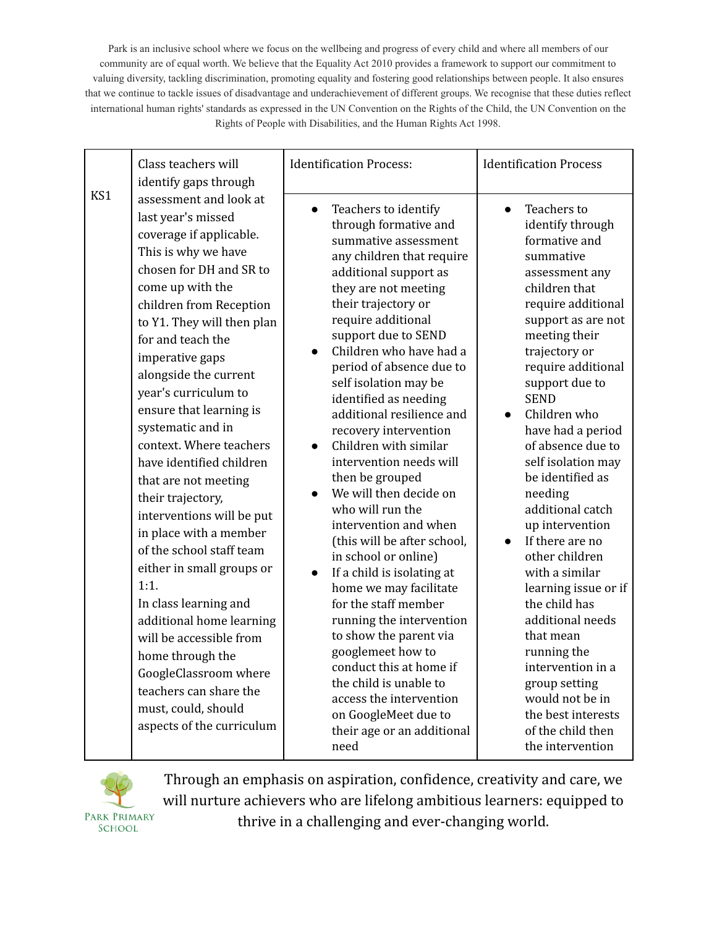|     | Class teachers will<br>identify gaps through                                                                                                                                                                                                                                                                                                                                                                                                                                                                                                                                                                                                                                                                                                                                           | <b>Identification Process:</b>                                                                                                                                                                                                                                                                                                                                                                                                                                                                                                                                                                                                                                                                                                                                                                                                                                                                                                              | <b>Identification Process</b>                                                                                                                                                                                                                                                                                                                                                                                                                                                                                                                                                                                                                                                                 |
|-----|----------------------------------------------------------------------------------------------------------------------------------------------------------------------------------------------------------------------------------------------------------------------------------------------------------------------------------------------------------------------------------------------------------------------------------------------------------------------------------------------------------------------------------------------------------------------------------------------------------------------------------------------------------------------------------------------------------------------------------------------------------------------------------------|---------------------------------------------------------------------------------------------------------------------------------------------------------------------------------------------------------------------------------------------------------------------------------------------------------------------------------------------------------------------------------------------------------------------------------------------------------------------------------------------------------------------------------------------------------------------------------------------------------------------------------------------------------------------------------------------------------------------------------------------------------------------------------------------------------------------------------------------------------------------------------------------------------------------------------------------|-----------------------------------------------------------------------------------------------------------------------------------------------------------------------------------------------------------------------------------------------------------------------------------------------------------------------------------------------------------------------------------------------------------------------------------------------------------------------------------------------------------------------------------------------------------------------------------------------------------------------------------------------------------------------------------------------|
| KS1 | assessment and look at<br>last year's missed<br>coverage if applicable.<br>This is why we have<br>chosen for DH and SR to<br>come up with the<br>children from Reception<br>to Y1. They will then plan<br>for and teach the<br>imperative gaps<br>alongside the current<br>year's curriculum to<br>ensure that learning is<br>systematic and in<br>context. Where teachers<br>have identified children<br>that are not meeting<br>their trajectory,<br>interventions will be put<br>in place with a member<br>of the school staff team<br>either in small groups or<br>1:1.<br>In class learning and<br>additional home learning<br>will be accessible from<br>home through the<br>GoogleClassroom where<br>teachers can share the<br>must, could, should<br>aspects of the curriculum | Teachers to identify<br>$\bullet$<br>through formative and<br>summative assessment<br>any children that require<br>additional support as<br>they are not meeting<br>their trajectory or<br>require additional<br>support due to SEND<br>Children who have had a<br>$\bullet$<br>period of absence due to<br>self isolation may be<br>identified as needing<br>additional resilience and<br>recovery intervention<br>Children with similar<br>intervention needs will<br>then be grouped<br>We will then decide on<br>who will run the<br>intervention and when<br>(this will be after school,<br>in school or online)<br>If a child is isolating at<br>$\bullet$<br>home we may facilitate<br>for the staff member<br>running the intervention<br>to show the parent via<br>googlemeet how to<br>conduct this at home if<br>the child is unable to<br>access the intervention<br>on GoogleMeet due to<br>their age or an additional<br>need | Teachers to<br>$\bullet$<br>identify through<br>formative and<br>summative<br>assessment any<br>children that<br>require additional<br>support as are not<br>meeting their<br>trajectory or<br>require additional<br>support due to<br><b>SEND</b><br>Children who<br>$\bullet$<br>have had a period<br>of absence due to<br>self isolation may<br>be identified as<br>needing<br>additional catch<br>up intervention<br>If there are no<br>other children<br>with a similar<br>learning issue or if<br>the child has<br>additional needs<br>that mean<br>running the<br>intervention in a<br>group setting<br>would not be in<br>the best interests<br>of the child then<br>the intervention |

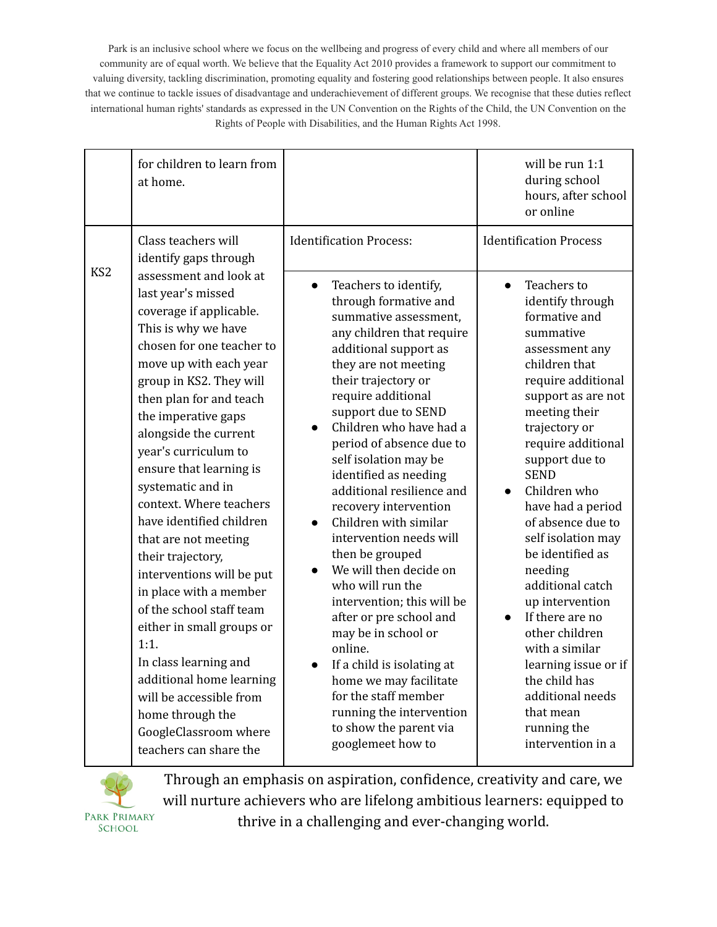|                                                                                                                                                                                                                                                                                                                          | for children to learn from<br>at home.                                                                                                                                                                                                                                                                                                                                                                                                     |                                                                                                                                                                                                                                                                                                                                                                                                                                                                               | will be run 1:1<br>during school<br>hours, after school<br>or online                                                                                                                                                                                                                                                                                       |
|--------------------------------------------------------------------------------------------------------------------------------------------------------------------------------------------------------------------------------------------------------------------------------------------------------------------------|--------------------------------------------------------------------------------------------------------------------------------------------------------------------------------------------------------------------------------------------------------------------------------------------------------------------------------------------------------------------------------------------------------------------------------------------|-------------------------------------------------------------------------------------------------------------------------------------------------------------------------------------------------------------------------------------------------------------------------------------------------------------------------------------------------------------------------------------------------------------------------------------------------------------------------------|------------------------------------------------------------------------------------------------------------------------------------------------------------------------------------------------------------------------------------------------------------------------------------------------------------------------------------------------------------|
| KS <sub>2</sub>                                                                                                                                                                                                                                                                                                          | Class teachers will<br>identify gaps through<br>assessment and look at<br>last year's missed<br>coverage if applicable.<br>This is why we have<br>chosen for one teacher to<br>move up with each year<br>group in KS2. They will<br>then plan for and teach<br>the imperative gaps<br>alongside the current<br>year's curriculum to<br>ensure that learning is<br>systematic and in<br>context. Where teachers<br>have identified children | <b>Identification Process:</b><br>Teachers to identify,<br>$\bullet$<br>through formative and<br>summative assessment,<br>any children that require<br>additional support as<br>they are not meeting<br>their trajectory or<br>require additional<br>support due to SEND<br>Children who have had a<br>$\bullet$<br>period of absence due to<br>self isolation may be<br>identified as needing<br>additional resilience and<br>recovery intervention<br>Children with similar | <b>Identification Process</b><br>Teachers to<br>$\bullet$<br>identify through<br>formative and<br>summative<br>assessment any<br>children that<br>require additional<br>support as are not<br>meeting their<br>trajectory or<br>require additional<br>support due to<br><b>SEND</b><br>Children who<br>$\bullet$<br>have had a period<br>of absence due to |
| that are not meeting<br>their trajectory,<br>interventions will be put<br>in place with a member<br>of the school staff team<br>either in small groups or<br>1:1.<br>In class learning and<br>additional home learning<br>will be accessible from<br>home through the<br>GoogleClassroom where<br>teachers can share the | intervention needs will<br>then be grouped<br>We will then decide on<br>who will run the<br>intervention; this will be<br>after or pre school and<br>may be in school or<br>online.<br>If a child is isolating at<br>home we may facilitate<br>for the staff member<br>running the intervention<br>to show the parent via<br>googlemeet how to                                                                                             | self isolation may<br>be identified as<br>needing<br>additional catch<br>up intervention<br>If there are no<br>other children<br>with a similar<br>learning issue or if<br>the child has<br>additional needs<br>that mean<br>running the<br>intervention in a                                                                                                                                                                                                                 |                                                                                                                                                                                                                                                                                                                                                            |